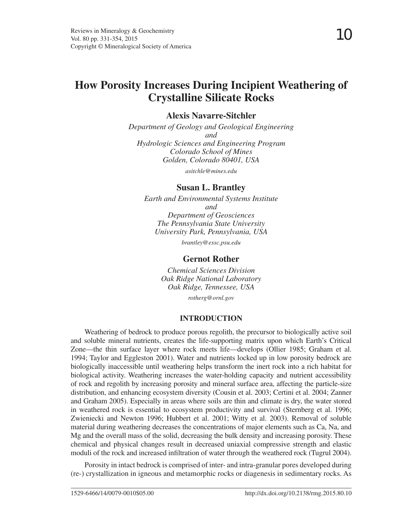# **Alexis Navarre-Sitchler**

*Department of Geology and Geological Engineering and Hydrologic Sciences and Engineering Program Colorado School of Mines Golden, Colorado 80401, USA asitchle@mines.edu*

# **Susan L. Brantley**

*Earth and Environmental Systems Institute and Department of Geosciences The Pennsylvania State University University Park, Pennsylvania, USA*

*brantley@essc.psu.edu*

## **Gernot Rother**

*Chemical Sciences Division Oak Ridge National Laboratory Oak Ridge, Tennessee, USA*

*rotherg@ornl.gov*

## **INTRODUCTION**

Weathering of bedrock to produce porous regolith, the precursor to biologically active soil and soluble mineral nutrients, creates the life-supporting matrix upon which Earth's Critical Zone—the thin surface layer where rock meets life—develops (Ollier 1985; Graham et al. 1994; Taylor and Eggleston 2001). Water and nutrients locked up in low porosity bedrock are biologically inaccessible until weathering helps transform the inert rock into a rich habitat for biological activity. Weathering increases the water-holding capacity and nutrient accessibility of rock and regolith by increasing porosity and mineral surface area, affecting the particle-size distribution, and enhancing ecosystem diversity (Cousin et al. 2003; Certini et al. 2004; Zanner and Graham 2005). Especially in areas where soils are thin and climate is dry, the water stored in weathered rock is essential to ecosystem productivity and survival (Sternberg et al. 1996; Zwieniecki and Newton 1996; Hubbert et al. 2001; Witty et al. 2003). Removal of soluble material during weathering decreases the concentrations of major elements such as Ca, Na, and Mg and the overall mass of the solid, decreasing the bulk density and increasing porosity. These chemical and physical changes result in decreased uniaxial compressive strength and elastic moduli of the rock and increased infiltration of water through the weathered rock (Tugrul 2004).

Porosity in intact bedrock is comprised of inter- and intra-granular pores developed during (re-) crystallization in igneous and metamorphic rocks or diagenesis in sedimentary rocks. As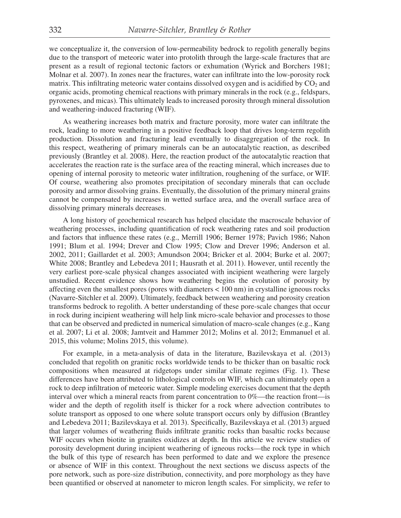we conceptualize it, the conversion of low-permeability bedrock to regolith generally begins due to the transport of meteoric water into protolith through the large-scale fractures that are present as a result of regional tectonic factors or exhumation (Wyrick and Borchers 1981; Molnar et al. 2007). In zones near the fractures, water can infiltrate into the low-porosity rock matrix. This infiltrating meteoric water contains dissolved oxygen and is acidified by  $CO<sub>2</sub>$  and organic acids, promoting chemical reactions with primary minerals in the rock (e.g., feldspars, pyroxenes, and micas). This ultimately leads to increased porosity through mineral dissolution and weathering-induced fracturing (WIF).

As weathering increases both matrix and fracture porosity, more water can infiltrate the rock, leading to more weathering in a positive feedback loop that drives long-term regolith production. Dissolution and fracturing lead eventually to disaggregation of the rock. In this respect, weathering of primary minerals can be an autocatalytic reaction, as described previously (Brantley et al. 2008). Here, the reaction product of the autocatalytic reaction that accelerates the reaction rate is the surface area of the reacting mineral, which increases due to opening of internal porosity to meteoric water infiltration, roughening of the surface, or WIF. Of course, weathering also promotes precipitation of secondary minerals that can occlude porosity and armor dissolving grains. Eventually, the dissolution of the primary mineral grains cannot be compensated by increases in wetted surface area, and the overall surface area of dissolving primary minerals decreases.

A long history of geochemical research has helped elucidate the macroscale behavior of weathering processes, including quantification of rock weathering rates and soil production and factors that influence these rates (e.g., Merrill 1906; Berner 1978; Pavich 1986; Nahon 1991; Blum et al. 1994; Drever and Clow 1995; Clow and Drever 1996; Anderson et al. 2002, 2011; Gaillardet et al. 2003; Amundson 2004; Bricker et al. 2004; Burke et al. 2007; White 2008; Brantley and Lebedeva 2011; Hausrath et al. 2011). However, until recently the very earliest pore-scale physical changes associated with incipient weathering were largely unstudied. Recent evidence shows how weathering begins the evolution of porosity by affecting even the smallest pores (pores with diameters  $< 100 \text{ nm}$ ) in crystalline igneous rocks (Navarre-Sitchler et al. 2009). Ultimately, feedback between weathering and porosity creation transforms bedrock to regolith. A better understanding of these pore-scale changes that occur in rock during incipient weathering will help link micro-scale behavior and processes to those that can be observed and predicted in numerical simulation of macro-scale changes (e.g., Kang et al. 2007; Li et al. 2008; Jamtveit and Hammer 2012; Molins et al. 2012; Emmanuel et al. 2015, this volume; Molins 2015, this volume).

For example, in a meta-analysis of data in the literature, Bazilevskaya et al. (2013) concluded that regolith on granitic rocks worldwide tends to be thicker than on basaltic rock compositions when measured at ridgetops under similar climate regimes (Fig. 1). These differences have been attributed to lithological controls on WIF, which can ultimately open a rock to deep infiltration of meteoric water. Simple modeling exercises document that the depth interval over which a mineral reacts from parent concentration to 0%—the reaction front—is wider and the depth of regolith itself is thicker for a rock where advection contributes to solute transport as opposed to one where solute transport occurs only by diffusion (Brantley and Lebedeva 2011; Bazilevskaya et al. 2013). Specifically, Bazilevskaya et al. (2013) argued that larger volumes of weathering fluids infiltrate granitic rocks than basaltic rocks because WIF occurs when biotite in granites oxidizes at depth. In this article we review studies of porosity development during incipient weathering of igneous rocks—the rock type in which the bulk of this type of research has been performed to date and we explore the presence or absence of WIF in this context. Throughout the next sections we discuss aspects of the pore network, such as pore-size distribution, connectivity, and pore morphology as they have been quantified or observed at nanometer to micron length scales. For simplicity, we refer to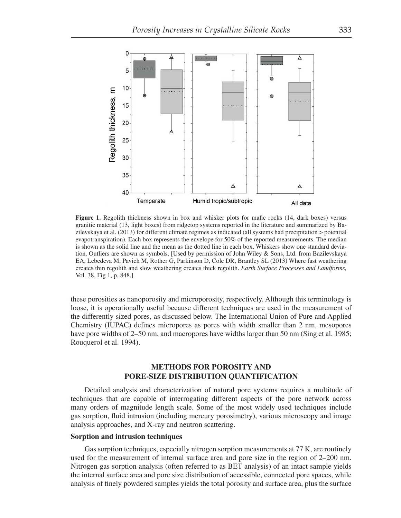

**Figure 1.** Regolith thickness shown in box and whisker plots for mafic rocks (14, dark boxes) versus granitic material (13, light boxes) from ridgetop systems reported in the literature and summarized by Bazilevskaya et al. (2013) for different climate regimes as indicated (all systems had precipitation > potential evapotranspiration). Each box represents the envelope for 50% of the reported measurements. The median is shown as the solid line and the mean as the dotted line in each box. Whiskers show one standard deviation. Outliers are shown as symbols. [Used by permission of John Wiley & Sons, Ltd. from Bazilevskaya EA, Lebedeva M, Pavich M, Rother G, Parkinson D, Cole DR, Brantley SL (2013) Where fast weathering creates thin regolith and slow weathering creates thick regolith. *Earth Surface Processes and Landforms,* Vol. 38, Fig 1, p. 848.]

these porosities as nanoporosity and microporosity, respectively. Although this terminology is loose, it is operationally useful because different techniques are used in the measurement of the differently sized pores, as discussed below. The International Union of Pure and Applied Chemistry (IUPAC) defines micropores as pores with width smaller than 2 nm, mesopores have pore widths of 2–50 nm, and macropores have widths larger than 50 nm (Sing et al. 1985; Rouquerol et al. 1994).

# **METHODS FOR POROSITY AND PORE-SIZE DISTRIBUTION QUANTIFICATION**

Detailed analysis and characterization of natural pore systems requires a multitude of techniques that are capable of interrogating different aspects of the pore network across many orders of magnitude length scale. Some of the most widely used techniques include gas sorption, fluid intrusion (including mercury porosimetry), various microscopy and image analysis approaches, and X-ray and neutron scattering.

### **Sorption and intrusion techniques**

Gas sorption techniques, especially nitrogen sorption measurements at 77 K, are routinely used for the measurement of internal surface area and pore size in the region of 2–200 nm. Nitrogen gas sorption analysis (often referred to as BET analysis) of an intact sample yields the internal surface area and pore size distribution of accessible, connected pore spaces, while analysis of finely powdered samples yields the total porosity and surface area, plus the surface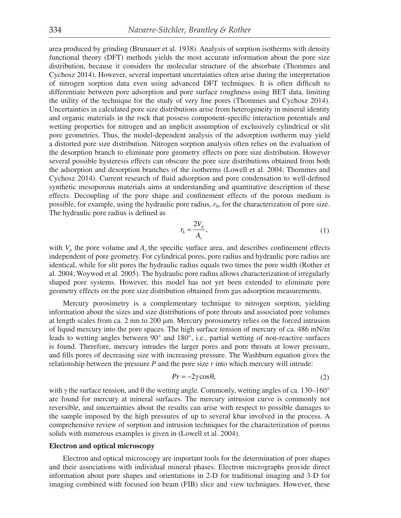area produced by grinding (Brunauer et al. 1938). Analysis of sorption isotherms with density functional theory (DFT) methods yields the most accurate information about the pore size distribution, because it considers the molecular structure of the absorbate (Thommes and Cychosz 2014). However, several important uncertainties often arise during the interpretation of nitrogen sorption data even using advanced DFT techniques. It is often difficult to differentiate between pore adsorption and pore surface roughness using BET data, limiting the utility of the technique for the study of very fine pores (Thommes and Cychosz 2014). Uncertainties in calculated pore size distributions arise from heterogeneity in mineral identity and organic materials in the rock that possess component-specific interaction potentials and wetting properties for nitrogen and an implicit assumption of exclusively cylindrical or slit pore geometries. Thus, the model-dependent analysis of the adsorption isotherm may yield a distorted pore size distribution. Nitrogen sorption analysis often relies on the evaluation of the desorption branch to eliminate pore geometry effects on pore size distribution. However several possible hysteresis effects can obscure the pore size distributions obtained from both the adsorption and desorption branches of the isotherms (Lowell et al. 2004; Thommes and Cychosz 2014). Current research of fluid adsorption and pore condensation to well-defined synthetic mesoporous materials aims at understanding and quantitative description of these effects. Decoupling of the pore shape and confinement effects of the porous medium is possible, for example, using the hydraulic pore radius, *rh*, for the characterization of pore size. The hydraulic pore radius is defined as

$$
r_h = \frac{2V_p}{A_s},\tag{1}
$$

with  $V_p$  the pore volume and  $A_s$  the specific surface area, and describes confinement effects independent of pore geometry. For cylindrical pores, pore radius and hydraulic pore radius are identical, while for slit pores the hydraulic radius equals two times the pore width (Rother et al. 2004; Woywod et al. 2005). The hydraulic pore radius allows characterization of irregularly shaped pore systems. However, this model has not yet been extended to eliminate pore geometry effects on the pore size distribution obtained from gas adsorption measurements.

Mercury porosimetry is a complementary technique to nitrogen sorption, yielding information about the sizes and size distributions of pore throats and associated pore volumes at length scales from ca. 2 nm to 200 m. Mercury porosimetry relies on the forced intrusion of liquid mercury into the pore spaces. The high surface tension of mercury of ca. 486 mN/m leads to wetting angles between 90° and 180°, i.e., partial wetting of non-reactive surfaces is found. Therefore, mercury intrudes the larger pores and pore throats at lower pressure, and fills pores of decreasing size with increasing pressure. The Washburn equation gives the relationship between the pressure *P* and the pore size *r* into which mercury will intrude:

$$
Pr = -2\gamma \cos \theta,\tag{2}
$$

with  $\gamma$  the surface tension, and  $\theta$  the wetting angle. Commonly, wetting angles of ca. 130–160° are found for mercury at mineral surfaces. The mercury intrusion curve is commonly not reversible, and uncertainties about the results can arise with respect to possible damages to the sample imposed by the high pressures of up to several kbar involved in the process. A comprehensive review of sorption and intrusion techniques for the characterization of porous solids with numerous examples is given in (Lowell et al. 2004).

### **Electron and optical microscopy**

Electron and optical microscopy are important tools for the determination of pore shapes and their associations with individual mineral phases. Electron micrographs provide direct information about pore shapes and orientations in 2-D for traditional imaging and 3-D for imaging combined with focused ion beam (FIB) slice and view techniques. However, these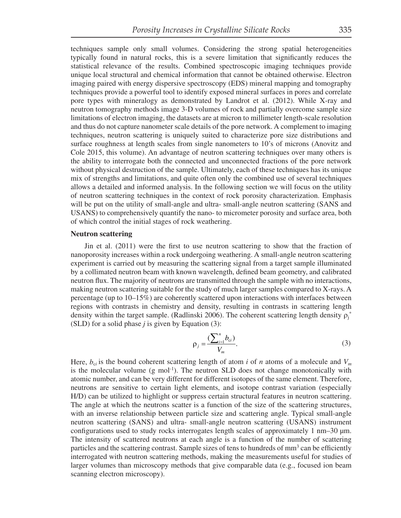techniques sample only small volumes. Considering the strong spatial heterogeneities typically found in natural rocks, this is a severe limitation that significantly reduces the statistical relevance of the results. Combined spectroscopic imaging techniques provide unique local structural and chemical information that cannot be obtained otherwise. Electron imaging paired with energy dispersive spectroscopy (EDS) mineral mapping and tomography techniques provide a powerful tool to identify exposed mineral surfaces in pores and correlate pore types with mineralogy as demonstrated by Landrot et al. (2012). While X-ray and neutron tomography methods image 3-D volumes of rock and partially overcome sample size limitations of electron imaging, the datasets are at micron to millimeter length-scale resolution and thus do not capture nanometer scale details of the pore network. A complement to imaging techniques, neutron scattering is uniquely suited to characterize pore size distributions and surface roughness at length scales from single nanometers to 10's of microns (Anovitz and Cole 2015, this volume). An advantage of neutron scattering techniques over many others is the ability to interrogate both the connected and unconnected fractions of the pore network without physical destruction of the sample. Ultimately, each of these techniques has its unique mix of strengths and limitations, and quite often only the combined use of several techniques allows a detailed and informed analysis. In the following section we will focus on the utility of neutron scattering techniques in the context of rock porosity characterization. Emphasis will be put on the utility of small-angle and ultra- small-angle neutron scattering (SANS and USANS) to comprehensively quantify the nano- to micrometer porosity and surface area, both of which control the initial stages of rock weathering.

#### **Neutron scattering**

Jin et al.  $(2011)$  were the first to use neutron scattering to show that the fraction of nanoporosity increases within a rock undergoing weathering. A small-angle neutron scattering experiment is carried out by measuring the scattering signal from a target sample illuminated by a collimated neutron beam with known wavelength, defined beam geometry, and calibrated neutron flux. The majority of neutrons are transmitted through the sample with no interactions, making neutron scattering suitable for the study of much larger samples compared to X-rays. A percentage (up to 10–15%) are coherently scattered upon interactions with interfaces between regions with contrasts in chemistry and density, resulting in contrasts in scattering length density within the target sample. (Radlinski 2006). The coherent scattering length density  $\rho_j^*$ (SLD) for a solid phase  $j$  is given by Equation  $(3)$ :

$$
\rho_j = \frac{\left(\sum_{i=1}^n b_{ci}\right)}{V_m}.
$$
\n(3)

Here,  $b_{ci}$  is the bound coherent scattering length of atom *i* of *n* atoms of a molecule and  $V_m$ is the molecular volume  $(g \text{ mol}^{-1})$ . The neutron SLD does not change monotonically with atomic number, and can be very different for different isotopes of the same element. Therefore, neutrons are sensitive to certain light elements, and isotope contrast variation (especially H/D) can be utilized to highlight or suppress certain structural features in neutron scattering. The angle at which the neutrons scatter is a function of the size of the scattering structures, with an inverse relationship between particle size and scattering angle. Typical small-angle neutron scattering (SANS) and ultra- small-angle neutron scattering (USANS) instrument configurations used to study rocks interrogates length scales of approximately 1 nm–30  $\mu$ m. The intensity of scattered neutrons at each angle is a function of the number of scattering particles and the scattering contrast. Sample sizes of tens to hundreds of mm<sup>3</sup> can be efficiently interrogated with neutron scattering methods, making the measurements useful for studies of larger volumes than microscopy methods that give comparable data (e.g., focused ion beam scanning electron microscopy).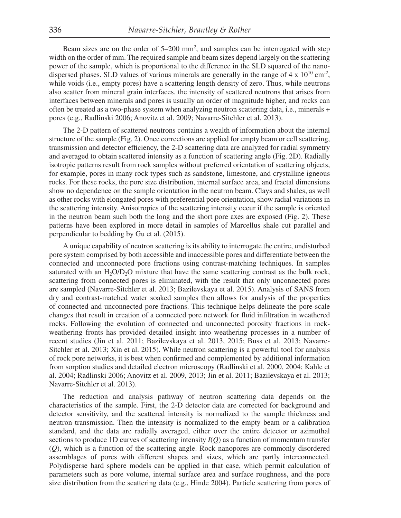Beam sizes are on the order of 5–200 mm<sup>2</sup>, and samples can be interrogated with step width on the order of mm. The required sample and beam sizes depend largely on the scattering power of the sample, which is proportional to the difference in the SLD squared of the nanodispersed phases. SLD values of various minerals are generally in the range of  $4 \times 10^{10}$  cm<sup>-2</sup>, while voids (i.e., empty pores) have a scattering length density of zero. Thus, while neutrons also scatter from mineral grain interfaces, the intensity of scattered neutrons that arises from interfaces between minerals and pores is usually an order of magnitude higher, and rocks can often be treated as a two-phase system when analyzing neutron scattering data, i.e., minerals + pores (e.g., Radlinski 2006; Anovitz et al. 2009; Navarre-Sitchler et al. 2013).

The 2-D pattern of scattered neutrons contains a wealth of information about the internal structure of the sample (Fig. 2). Once corrections are applied for empty beam or cell scattering, transmission and detector efficiency, the 2-D scattering data are analyzed for radial symmetry and averaged to obtain scattered intensity as a function of scattering angle (Fig. 2D). Radially isotropic patterns result from rock samples without preferred orientation of scattering objects, for example, pores in many rock types such as sandstone, limestone, and crystalline igneous rocks. For these rocks, the pore size distribution, internal surface area, and fractal dimensions show no dependence on the sample orientation in the neutron beam. Clays and shales, as well as other rocks with elongated pores with preferential pore orientation, show radial variations in the scattering intensity. Anisotropies of the scattering intensity occur if the sample is oriented in the neutron beam such both the long and the short pore axes are exposed (Fig. 2). These patterns have been explored in more detail in samples of Marcellus shale cut parallel and perpendicular to bedding by Gu et al. (2015).

A unique capability of neutron scattering is its ability to interrogate the entire, undisturbed pore system comprised by both accessible and inaccessible pores and differentiate between the connected and unconnected pore fractions using contrast-matching techniques. In samples saturated with an  $H_2O/D_2O$  mixture that have the same scattering contrast as the bulk rock, scattering from connected pores is eliminated, with the result that only unconnected pores are sampled (Navarre-Sitchler et al. 2013; Bazilevskaya et al. 2015). Analysis of SANS from dry and contrast-matched water soaked samples then allows for analysis of the properties of connected and unconnected pore fractions. This technique helps delineate the pore-scale changes that result in creation of a connected pore network for fluid infiltration in weathered rocks. Following the evolution of connected and unconnected porosity fractions in rockweathering fronts has provided detailed insight into weathering processes in a number of recent studies (Jin et al. 2011; Bazilevskaya et al. 2013, 2015; Buss et al. 2013; Navarre-Sitchler et al. 2013; Xin et al. 2015). While neutron scattering is a powerful tool for analysis of rock pore networks, it is best when confirmed and complemented by additional information from sorption studies and detailed electron microscopy (Radlinski et al. 2000, 2004; Kahle et al. 2004; Radlinski 2006; Anovitz et al. 2009, 2013; Jin et al. 2011; Bazilevskaya et al. 2013; Navarre-Sitchler et al. 2013).

The reduction and analysis pathway of neutron scattering data depends on the characteristics of the sample. First, the 2-D detector data are corrected for background and detector sensitivity, and the scattered intensity is normalized to the sample thickness and neutron transmission. Then the intensity is normalized to the empty beam or a calibration standard, and the data are radially averaged, either over the entire detector or azimuthal sections to produce 1D curves of scattering intensity *I*(*Q*) as a function of momentum transfer (*Q*), which is a function of the scattering angle. Rock nanopores are commonly disordered assemblages of pores with different shapes and sizes, which are partly interconnected. Polydisperse hard sphere models can be applied in that case, which permit calculation of parameters such as pore volume, internal surface area and surface roughness, and the pore size distribution from the scattering data (e.g., Hinde 2004). Particle scattering from pores of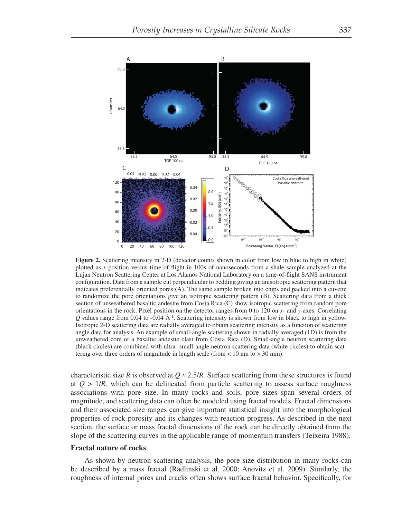

**Figure 2.** Scattering intensity in 2-D (detector counts shown in color from low in blue to high in white) plotted as *x*-position versus time of flight in 100s of nanoseconds from a shale sample analyzed at the Lujan Neutron Scattering Center at Los Alamos National Laboratory on a time-of-flight SANS instrument configuration. Data from a sample cut perpendicular to bedding giving an anisotropic scattering pattern that indicates preferentially oriented pores (A). The same sample broken into chips and packed into a cuvette to randomize the pore orientations give an isotropic scattering pattern (B). Scattering data from a thick section of unweathered basaltic andesite from Costa Rica (C) show isotropic scattering from random pore orientations in the rock. Pixel position on the detector ranges from 0 to 120 on *x-* and *y*-axes. Correlating *Q* values range from 0.04 to -0.04 Å<sup>-1</sup>. Scattering intensity is shown from low in black to high in yellow. Isotropic 2-D scattering data are radially averaged to obtain scattering intensity as a function of scattering angle data for analysis. An example of small-angle scattering shown in radially averaged (1D) is from the unweathered core of a basaltic andesite clast from Costa Rica (D). Small-angle neutron scattering data (black circles) are combined with ultra- small-angle neutron scattering data (white circles) to obtain scattering over three orders of magnitude in length scale (from  $< 10$  nm to  $> 30$  mm).

characteristic size *R* is observed at  $Q \approx 2.5/R$ . Surface scattering from these structures is found at  $Q > 1/R$ , which can be delineated from particle scattering to assess surface roughness associations with pore size. In many rocks and soils, pore sizes span several orders of magnitude, and scattering data can often be modeled using fractal models. Fractal dimensions and their associated size ranges can give important statistical insight into the morphological properties of rock porosity and its changes with reaction progress. As described in the next section, the surface or mass fractal dimensions of the rock can be directly obtained from the slope of the scattering curves in the applicable range of momentum transfers (Teixeira 1988).

### **Fractal nature of rocks**

As shown by neutron scattering analysis, the pore size distribution in many rocks can be described by a mass fractal (Radlinski et al. 2000; Anovitz et al. 2009). Similarly, the roughness of internal pores and cracks often shows surface fractal behavior. Specifically, for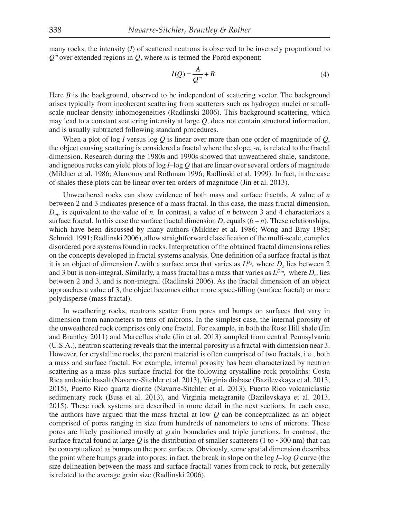many rocks, the intensity (*I*) of scattered neutrons is observed to be inversely proportional to *Qm* over extended regions in *Q*, where *m* is termed the Porod exponent:

$$
I(Q) = \frac{A}{Q^m} + B. \tag{4}
$$

Here *B* is the background, observed to be independent of scattering vector. The background arises typically from incoherent scattering from scatterers such as hydrogen nuclei or smallscale nuclear density inhomogeneities (Radlinski 2006). This background scattering, which may lead to a constant scattering intensity at large *Q*, does not contain structural information, and is usually subtracted following standard procedures.

When a plot of log *I* versus log *Q* is linear over more than one order of magnitude of *Q*, the object causing scattering is considered a fractal where the slope, *-n*, is related to the fractal dimension. Research during the 1980s and 1990s showed that unweathered shale, sandstone, and igneous rocks can yield plots of log *I*–log *Q* that are linear over several orders of magnitude (Mildner et al. 1986; Aharonov and Rothman 1996; Radlinski et al. 1999). In fact, in the case of shales these plots can be linear over ten orders of magnitude (Jin et al. 2013).

Unweathered rocks can show evidence of both mass and surface fractals. A value of *n* between 2 and 3 indicates presence of a mass fractal. In this case, the mass fractal dimension,  $D_m$ , is equivalent to the value of *n*. In contrast, a value of *n* between 3 and 4 characterizes a surface fractal. In this case the surface fractal dimension  $D_s$  equals  $(6 - n)$ . These relationships, which have been discussed by many authors (Mildner et al. 1986; Wong and Bray 1988; Schmidt 1991; Radlinski 2006), allow straightforward classification of the multi-scale, complex disordered pore systems found in rocks. Interpretation of the obtained fractal dimensions relies on the concepts developed in fractal systems analysis. One definition of a surface fractal is that it is an object of dimension *L* with a surface area that varies as  $L^{D_s}$ , where  $D_s$  lies between 2 and 3 but is non-integral. Similarly, a mass fractal has a mass that varies as  $L^{D_m}$ , where  $D_m$  lies between 2 and 3, and is non-integral (Radlinski 2006). As the fractal dimension of an object approaches a value of 3, the object becomes either more space-filling (surface fractal) or more polydisperse (mass fractal).

In weathering rocks, neutrons scatter from pores and bumps on surfaces that vary in dimension from nanometers to tens of microns. In the simplest case, the internal porosity of the unweathered rock comprises only one fractal. For example, in both the Rose Hill shale (Jin and Brantley 2011) and Marcellus shale (Jin et al. 2013) sampled from central Pennsylvania (U.S.A.), neutron scattering reveals that the internal porosity is a fractal with dimension near 3. However, for crystalline rocks, the parent material is often comprised of two fractals, i.e., both a mass and surface fractal. For example, internal porosity has been characterized by neutron scattering as a mass plus surface fractal for the following crystalline rock protoliths: Costa Rica andesitic basalt (Navarre-Sitchler et al. 2013), Virginia diabase (Bazilevskaya et al. 2013, 2015), Puerto Rico quartz diorite (Navarre-Sitchler et al. 2013), Puerto Rico volcaniclastic sedimentary rock (Buss et al. 2013), and Virginia metagranite (Bazilevskaya et al. 2013, 2015). These rock systems are described in more detail in the next sections. In each case, the authors have argued that the mass fractal at low  $Q$  can be conceptualized as an object comprised of pores ranging in size from hundreds of nanometers to tens of microns. These pores are likely positioned mostly at grain boundaries and triple junctions. In contrast, the surface fractal found at large  $Q$  is the distribution of smaller scatterers (1 to  $\sim$ 300 nm) that can be conceptualized as bumps on the pore surfaces. Obviously, some spatial dimension describes the point where bumps grade into pores: in fact, the break in slope on the log *I–*log *Q* curve (the size delineation between the mass and surface fractal) varies from rock to rock, but generally is related to the average grain size (Radlinski 2006).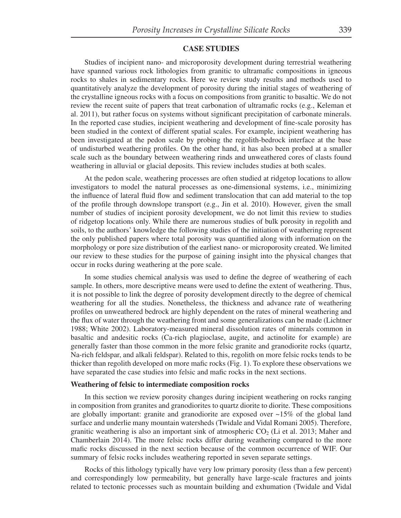#### **CASE STUDIES**

Studies of incipient nano- and microporosity development during terrestrial weathering have spanned various rock lithologies from granitic to ultramafic compositions in igneous rocks to shales in sedimentary rocks. Here we review study results and methods used to quantitatively analyze the development of porosity during the initial stages of weathering of the crystalline igneous rocks with a focus on compositions from granitic to basaltic. We do not review the recent suite of papers that treat carbonation of ultramafic rocks (e.g., Keleman et al. 2011), but rather focus on systems without significant precipitation of carbonate minerals. In the reported case studies, incipient weathering and development of fine-scale porosity has been studied in the context of different spatial scales. For example, incipient weathering has been investigated at the pedon scale by probing the regolith-bedrock interface at the base of undisturbed weathering profiles. On the other hand, it has also been probed at a smaller scale such as the boundary between weathering rinds and unweathered cores of clasts found weathering in alluvial or glacial deposits. This review includes studies at both scales.

At the pedon scale, weathering processes are often studied at ridgetop locations to allow investigators to model the natural processes as one-dimensional systems, i.e., minimizing the influence of lateral fluid flow and sediment translocation that can add material to the top of the profile through downslope transport (e.g., Jin et al. 2010). However, given the small number of studies of incipient porosity development, we do not limit this review to studies of ridgetop locations only. While there are numerous studies of bulk porosity in regolith and soils, to the authors' knowledge the following studies of the initiation of weathering represent the only published papers where total porosity was quantified along with information on the morphology or pore size distribution of the earliest nano- or microporosity created. We limited our review to these studies for the purpose of gaining insight into the physical changes that occur in rocks during weathering at the pore scale.

In some studies chemical analysis was used to define the degree of weathering of each sample. In others, more descriptive means were used to define the extent of weathering. Thus, it is not possible to link the degree of porosity development directly to the degree of chemical weathering for all the studies. Nonetheless, the thickness and advance rate of weathering profiles on unweathered bedrock are highly dependent on the rates of mineral weathering and the flux of water through the weathering front and some generalizations can be made (Lichtner 1988; White 2002). Laboratory-measured mineral dissolution rates of minerals common in basaltic and andesitic rocks (Ca-rich plagioclase, augite, and actinolite for example) are generally faster than those common in the more felsic granite and granodiorite rocks (quartz, Na-rich feldspar, and alkali feldspar). Related to this, regolith on more felsic rocks tends to be thicker than regolith developed on more mafic rocks (Fig. 1). To explore these observations we have separated the case studies into felsic and mafic rocks in the next sections.

### **Weathering of felsic to intermediate composition rocks**

In this section we review porosity changes during incipient weathering on rocks ranging in composition from granites and granodiorites to quartz diorite to diorite. These compositions are globally important: granite and granodiorite are exposed over  $\sim$ 15% of the global land surface and underlie many mountain watersheds (Twidale and Vidal Romani 2005). Therefore, granitic weathering is also an important sink of atmospheric  $CO<sub>2</sub>$  (Li et al. 2013; Maher and Chamberlain 2014). The more felsic rocks differ during weathering compared to the more mafic rocks discussed in the next section because of the common occurrence of WIF. Our summary of felsic rocks includes weathering reported in seven separate settings.

Rocks of this lithology typically have very low primary porosity (less than a few percent) and correspondingly low permeability, but generally have large-scale fractures and joints related to tectonic processes such as mountain building and exhumation (Twidale and Vidal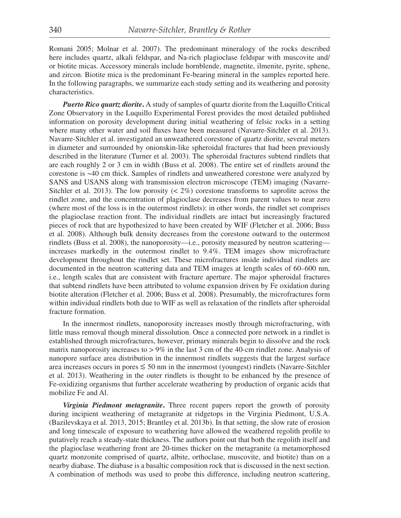Romani 2005; Molnar et al. 2007). The predominant mineralogy of the rocks described here includes quartz, alkali feldspar, and Na-rich plagioclase feldspar with muscovite and/ or biotite micas. Accessory minerals include hornblende, magnetite, ilmenite, pyrite, sphene, and zircon. Biotite mica is the predominant Fe-bearing mineral in the samples reported here. In the following paragraphs, we summarize each study setting and its weathering and porosity characteristics.

*Puerto Rico quartz diorite***.** A study of samples of quartz diorite from the Luquillo Critical Zone Observatory in the Luquillo Experimental Forest provides the most detailed published information on porosity development during initial weathering of felsic rocks in a setting where many other water and soil fluxes have been measured (Navarre-Sitchler et al. 2013). Navarre-Sitchler et al. investigated an unweathered corestone of quartz diorite, several meters in diameter and surrounded by onionskin-like spheroidal fractures that had been previously described in the literature (Turner et al. 2003). The spheroidal fractures subtend rindlets that are each roughly 2 or 3 cm in width (Buss et al. 2008). The entire set of rindlets around the corestone is 40 cm thick. Samples of rindlets and unweathered corestone were analyzed by SANS and USANS along with transmission electron microscope (TEM) imaging (Navarre-Sitchler et al. 2013). The low porosity  $(2\%)$  corestone transforms to saprolite across the rindlet zone, and the concentration of plagioclase decreases from parent values to near zero (where most of the loss is in the outermost rindlets): in other words, the rindlet set comprises the plagioclase reaction front. The individual rindlets are intact but increasingly fractured pieces of rock that are hypothesized to have been created by WIF (Fletcher et al. 2006; Buss et al. 2008). Although bulk density decreases from the corestone outward to the outermost rindlets (Buss et al. 2008), the nanoporosity—i.e., porosity measured by neutron scattering increases markedly in the outermost rindlet to 9.4%. TEM images show microfracture development throughout the rindlet set. These microfractures inside individual rindlets are documented in the neutron scattering data and TEM images at length scales of 60–600 nm, i.e., length scales that are consistent with fracture aperture. The major spheroidal fractures that subtend rindlets have been attributed to volume expansion driven by Fe oxidation during biotite alteration (Fletcher et al. 2006; Buss et al. 2008). Presumably, the microfractures form within individual rindlets both due to WIF as well as relaxation of the rindlets after spheroidal fracture formation.

In the innermost rindlets, nanoporosity increases mostly through microfracturing, with little mass removal though mineral dissolution. Once a connected pore network in a rindlet is established through microfractures, however, primary minerals begin to dissolve and the rock matrix nanoporosity increases to  $> 9\%$  in the last 3 cm of the 40-cm rindlet zone. Analysis of nanopore surface area distribution in the innermost rindlets suggests that the largest surface area increases occurs in pores ≲ 50 nm in the innermost (youngest) rindlets (Navarre-Sitchler et al. 2013). Weathering in the outer rindlets is thought to be enhanced by the presence of Fe-oxidizing organisms that further accelerate weathering by production of organic acids that mobilize Fe and Al.

*Virginia Piedmont metagranite***.** Three recent papers report the growth of porosity during incipient weathering of metagranite at ridgetops in the Virginia Piedmont, U.S.A. (Bazilevskaya et al. 2013, 2015; Brantley et al. 2013b). In that setting, the slow rate of erosion and long timescale of exposure to weathering have allowed the weathered regolith profile to putatively reach a steady-state thickness. The authors point out that both the regolith itself and the plagioclase weathering front are 20-times thicker on the metagranite (a metamorphosed quartz monzonite comprised of quartz, albite, orthoclase, muscovite, and biotite) than on a nearby diabase. The diabase is a basaltic composition rock that is discussed in the next section. A combination of methods was used to probe this difference, including neutron scattering,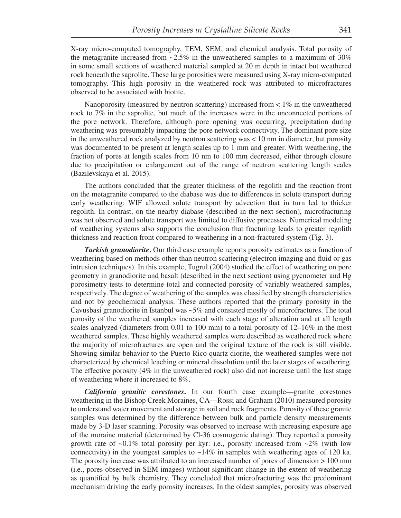X-ray micro-computed tomography, TEM, SEM, and chemical analysis. Total porosity of the metagranite increased from  $\approx 2.5\%$  in the unweathered samples to a maximum of 30% in some small sections of weathered material sampled at 20 m depth in intact but weathered rock beneath the saprolite. These large porosities were measured using X-ray micro-computed tomography. This high porosity in the weathered rock was attributed to microfractures observed to be associated with biotite.

Nanoporosity (measured by neutron scattering) increased from  $\lt 1\%$  in the unweathered rock to 7% in the saprolite, but much of the increases were in the unconnected portions of the pore network. Therefore, although pore opening was occurring, precipitation during weathering was presumably impacting the pore network connectivity. The dominant pore size in the unweathered rock analyzed by neutron scattering was < 10 nm in diameter, but porosity was documented to be present at length scales up to 1 mm and greater. With weathering, the fraction of pores at length scales from 10 nm to 100 mm decreased, either through closure due to precipitation or enlargement out of the range of neutron scattering length scales (Bazilevskaya et al. 2015).

The authors concluded that the greater thickness of the regolith and the reaction front on the metagranite compared to the diabase was due to differences in solute transport during early weathering: WIF allowed solute transport by advection that in turn led to thicker regolith. In contrast, on the nearby diabase (described in the next section), microfracturing was not observed and solute transport was limited to diffusive processes. Numerical modeling of weathering systems also supports the conclusion that fracturing leads to greater regolith thickness and reaction front compared to weathering in a non-fractured system (Fig. 3).

*Turkish granodiorite***.** Our third case example reports porosity estimates as a function of weathering based on methods other than neutron scattering (electron imaging and fluid or gas intrusion techniques). In this example, Tugrul (2004) studied the effect of weathering on pore geometry in granodiorite and basalt (described in the next section) using pycnometer and Hg porosimetry tests to determine total and connected porosity of variably weathered samples, respectively. The degree of weathering of the samples was classified by strength characteristics and not by geochemical analysis. These authors reported that the primary porosity in the Cavusbasi granodiorite in Istanbul was  $\sim$ 5% and consisted mostly of microfractures. The total porosity of the weathered samples increased with each stage of alteration and at all length scales analyzed (diameters from 0.01 to 100 mm) to a total porosity of  $12{\text -}16\%$  in the most weathered samples. These highly weathered samples were described as weathered rock where the majority of microfractures are open and the original texture of the rock is still visible. Showing similar behavior to the Puerto Rico quartz diorite, the weathered samples were not characterized by chemical leaching or mineral dissolution until the later stages of weathering. The effective porosity (4% in the unweathered rock) also did not increase until the last stage of weathering where it increased to 8%.

*California granitic corestones***.** In our fourth case example—granite corestones weathering in the Bishop Creek Moraines, CA—Rossi and Graham (2010) measured porosity to understand water movement and storage in soil and rock fragments. Porosity of these granite samples was determined by the difference between bulk and particle density measurements made by 3-D laser scanning. Porosity was observed to increase with increasing exposure age of the moraine material (determined by Cl-36 cosmogenic dating). They reported a porosity growth rate of  $\sim 0.1\%$  total porosity per kyr: i.e., porosity increased from  $\sim 2\%$  (with low connectivity) in the youngest samples to  $\sim$ 14% in samples with weathering ages of 120 ka. The porosity increase was attributed to an increased number of pores of dimension > 100 mm (i.e., pores observed in SEM images) without significant change in the extent of weathering as quantified by bulk chemistry. They concluded that microfracturing was the predominant mechanism driving the early porosity increases. In the oldest samples, porosity was observed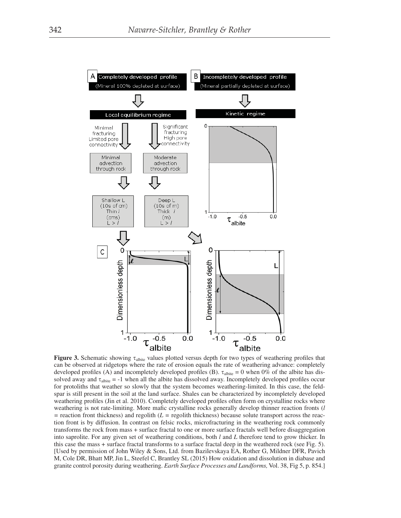

Figure 3. Schematic showing  $\tau_{\text{albic}}$  values plotted versus depth for two types of weathering profiles that can be observed at ridgetops where the rate of erosion equals the rate of weathering advance: completely developed profiles (A) and incompletely developed profiles (B).  $\tau_{\text{albic}} = 0$  when 0% of the albite has dissolved away and  $\tau_{\text{albic}} = -1$  when all the albite has dissolved away. Incompletely developed profiles occur for protoliths that weather so slowly that the system becomes weathering-limited. In this case, the feldspar is still present in the soil at the land surface. Shales can be characterized by incompletely developed weathering profiles (Jin et al. 2010). Completely developed profiles often form on crystalline rocks where weathering is not rate-limiting. More mafic crystalline rocks generally develop thinner reaction fronts (*l =* reaction front thickness) and regolith (*L =* regolith thickness) because solute transport across the reaction front is by diffusion. In contrast on felsic rocks, microfracturing in the weathering rock commonly transforms the rock from mass + surface fractal to one or more surface fractals well before disaggregation into saprolite. For any given set of weathering conditions, both *l* and *L* therefore tend to grow thicker. In this case the mass + surface fractal transforms to a surface fractal deep in the weathered rock (see Fig. 5). [Used by permission of John Wiley & Sons, Ltd. from Bazilevskaya EA, Rother G, Mildner DFR, Pavich M, Cole DR, Bhatt MP, Jin L, Steefel C, Brantley SL (2015) How oxidation and dissolution in diabase and granite control porosity during weathering. *Earth Surface Processes and Landforms,* Vol. 38, Fig 5, p. 854.]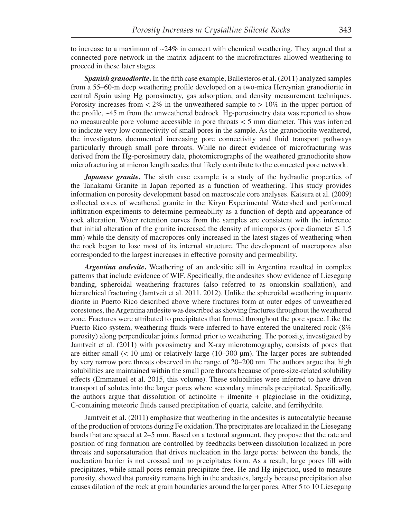to increase to a maximum of  $\sim$ 24% in concert with chemical weathering. They argued that a connected pore network in the matrix adjacent to the microfractures allowed weathering to proceed in these later stages.

**Spanish granodiorite.** In the fifth case example, Ballesteros et al. (2011) analyzed samples from a 55–60-m deep weathering profile developed on a two-mica Hercynian granodiorite in central Spain using Hg porosimetry, gas adsorption, and density measurement techniques. Porosity increases from  $\lt 2\%$  in the unweathered sample to  $> 10\%$  in the upper portion of the profile,  $\sim$ 45 m from the unweathered bedrock. Hg-porosimetry data was reported to show no measureable pore volume accessible in pore throats < 5 mm diameter. This was inferred to indicate very low connectivity of small pores in the sample. As the granodiorite weathered, the investigators documented increasing pore connectivity and fluid transport pathways particularly through small pore throats. While no direct evidence of microfracturing was derived from the Hg-porosimetry data, photomicrographs of the weathered granodiorite show microfracturing at micron length scales that likely contribute to the connected pore network.

*Japanese granite*. The sixth case example is a study of the hydraulic properties of the Tanakami Granite in Japan reported as a function of weathering. This study provides information on porosity development based on macroscale core analyses. Katsura et al. (2009) collected cores of weathered granite in the Kiryu Experimental Watershed and performed infiltration experiments to determine permeability as a function of depth and appearance of rock alteration. Water retention curves from the samples are consistent with the inference that initial alteration of the granite increased the density of micropores (pore diameter  $\leq 1.5$ ) mm) while the density of macropores only increased in the latest stages of weathering when the rock began to lose most of its internal structure. The development of macropores also corresponded to the largest increases in effective porosity and permeability.

*Argentina andesite***.** Weathering of an andesitic sill in Argentina resulted in complex patterns that include evidence of WIF. Specifically, the andesites show evidence of Liesegang banding, spheroidal weathering fractures (also referred to as onionskin spallation), and hierarchical fracturing (Jamtveit et al. 2011, 2012). Unlike the spheroidal weathering in quartz diorite in Puerto Rico described above where fractures form at outer edges of unweathered corestones, the Argentina andesite was described as showing fractures throughout the weathered zone. Fractures were attributed to precipitates that formed throughout the pore space. Like the Puerto Rico system, weathering fluids were inferred to have entered the unaltered rock  $(8\%$ porosity) along perpendicular joints formed prior to weathering. The porosity, investigated by Jamtveit et al. (2011) with porosimetry and X-ray microtomography, consists of pores that are either small  $(< 10 \mu m)$  or relatively large  $(10-300 \mu m)$ . The larger pores are subtended by very narrow pore throats observed in the range of 20–200 nm. The authors argue that high solubilities are maintained within the small pore throats because of pore-size-related solubility effects (Emmanuel et al. 2015, this volume). These solubilities were inferred to have driven transport of solutes into the larger pores where secondary minerals precipitated. Specifically, the authors argue that dissolution of actinolite  $+$  ilmenite  $+$  plagioclase in the oxidizing, C-containing meteoric fluids caused precipitation of quartz, calcite, and ferrihydrite.

Jamtveit et al. (2011) emphasize that weathering in the andesites is autocatalytic because of the production of protons during Fe oxidation. The precipitates are localized in the Liesegang bands that are spaced at 2–5 mm. Based on a textural argument, they propose that the rate and position of ring formation are controlled by feedbacks between dissolution localized in pore throats and supersaturation that drives nucleation in the large pores: between the bands, the nucleation barrier is not crossed and no precipitates form. As a result, large pores fill with precipitates, while small pores remain precipitate-free. He and Hg injection, used to measure porosity, showed that porosity remains high in the andesites, largely because precipitation also causes dilation of the rock at grain boundaries around the larger pores. After 5 to 10 Liesegang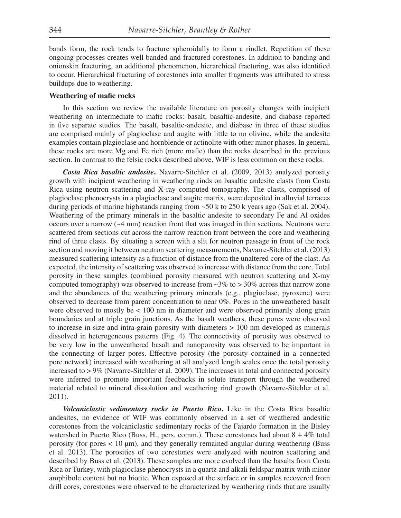bands form, the rock tends to fracture spheroidally to form a rindlet. Repetition of these ongoing processes creates well banded and fractured corestones. In addition to banding and onionskin fracturing, an additional phenomenon, hierarchical fracturing, was also identified to occur. Hierarchical fracturing of corestones into smaller fragments was attributed to stress buildups due to weathering.

### **Weathering of mafic rocks**

In this section we review the available literature on porosity changes with incipient weathering on intermediate to mafic rocks: basalt, basaltic-andesite, and diabase reported in five separate studies. The basalt, basaltic-andesite, and diabase in three of these studies are comprised mainly of plagioclase and augite with little to no olivine, while the andesite examples contain plagioclase and hornblende or actinolite with other minor phases. In general, these rocks are more Mg and Fe rich (more mafic) than the rocks described in the previous section. In contrast to the felsic rocks described above, WIF is less common on these rocks.

*Costa Rica basaltic andesite***.** Navarre-Sitchler et al. (2009, 2013) analyzed porosity growth with incipient weathering in weathering rinds on basaltic andesite clasts from Costa Rica using neutron scattering and X-ray computed tomography. The clasts, comprised of plagioclase phenocrysts in a plagioclase and augite matrix, were deposited in alluvial terraces during periods of marine highstands ranging from ~50 k to 250 k years ago (Sak et al. 2004). Weathering of the primary minerals in the basaltic andesite to secondary Fe and Al oxides occurs over a narrow (~4 mm) reaction front that was imaged in thin sections. Neutrons were scattered from sections cut across the narrow reaction front between the core and weathering rind of three clasts. By situating a screen with a slit for neutron passage in front of the rock section and moving it between neutron scattering measurements, Navarre-Sitchler et al. (2013) measured scattering intensity as a function of distance from the unaltered core of the clast. As expected, the intensity of scattering was observed to increase with distance from the core. Total porosity in these samples (combined porosity measured with neutron scattering and X-ray computed tomography) was observed to increase from  $\sim$ 3% to  $>$ 30% across that narrow zone and the abundances of the weathering primary minerals (e.g., plagioclase, pyroxene) were observed to decrease from parent concentration to near 0%. Pores in the unweathered basalt were observed to mostly be < 100 nm in diameter and were observed primarily along grain boundaries and at triple grain junctions. As the basalt weathers, these pores were observed to increase in size and intra-grain porosity with diameters > 100 nm developed as minerals dissolved in heterogeneous patterns (Fig. 4). The connectivity of porosity was observed to be very low in the unweathered basalt and nanoporosity was observed to be important in the connecting of larger pores. Effective porosity (the porosity contained in a connected pore network) increased with weathering at all analyzed length scales once the total porosity increased to > 9% (Navarre-Sitchler et al. 2009). The increases in total and connected porosity were inferred to promote important feedbacks in solute transport through the weathered material related to mineral dissolution and weathering rind growth (Navarre-Sitchler et al. 2011).

*Volcaniclastic sedimentary rocks in Puerto Rico***.** Like in the Costa Rica basaltic andesites, no evidence of WIF was commonly observed in a set of weathered andesitic corestones from the volcaniclastic sedimentary rocks of the Fajardo formation in the Bisley watershed in Puerto Rico (Buss, H., pers. comm.). These corestones had about  $8 \pm 4\%$  total porosity (for pores < 10 μm), and they generally remained angular during weathering (Buss et al. 2013). The porosities of two corestones were analyzed with neutron scattering and described by Buss et al. (2013). These samples are more evolved than the basalts from Costa Rica or Turkey, with plagioclase phenocrysts in a quartz and alkali feldspar matrix with minor amphibole content but no biotite. When exposed at the surface or in samples recovered from drill cores, corestones were observed to be characterized by weathering rinds that are usually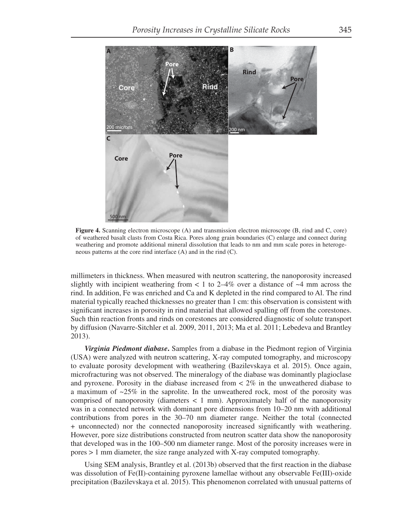

**Figure 4.** Scanning electron microscope (A) and transmission electron microscope (B, rind and C, core) of weathered basalt clasts from Costa Rica. Pores along grain boundaries (C) enlarge and connect during weathering and promote additional mineral dissolution that leads to nm and mm scale pores in heterogeneous patterns at the core rind interface (A) and in the rind (C).

millimeters in thickness. When measured with neutron scattering, the nanoporosity increased slightly with incipient weathering from  $\lt 1$  to 2–4% over a distance of  $\lt 4$  mm across the rind. In addition, Fe was enriched and Ca and K depleted in the rind compared to Al. The rind material typically reached thicknesses no greater than 1 cm: this observation is consistent with significant increases in porosity in rind material that allowed spalling off from the corestones. Such thin reaction fronts and rinds on corestones are considered diagnostic of solute transport by diffusion (Navarre-Sitchler et al. 2009, 2011, 2013; Ma et al. 2011; Lebedeva and Brantley 2013).

*Virginia Piedmont diabase***.** Samples from a diabase in the Piedmont region of Virginia (USA) were analyzed with neutron scattering, X-ray computed tomography, and microscopy to evaluate porosity development with weathering (Bazilevskaya et al. 2015). Once again, microfracturing was not observed. The mineralogy of the diabase was dominantly plagioclase and pyroxene. Porosity in the diabase increased from  $\lt 2\%$  in the unweathered diabase to a maximum of  $\approx 25\%$  in the saprolite. In the unweathered rock, most of the porosity was comprised of nanoporosity (diameters  $\langle 1 \text{ mm} \rangle$ ). Approximately half of the nanoporosity was in a connected network with dominant pore dimensions from 10–20 nm with additional contributions from pores in the 30–70 nm diameter range. Neither the total (connected + unconnected) nor the connected nanoporosity increased significantly with weathering. However, pore size distributions constructed from neutron scatter data show the nanoporosity that developed was in the 100–500 nm diameter range. Most of the porosity increases were in pores > 1 mm diameter, the size range analyzed with X-ray computed tomography.

Using SEM analysis, Brantley et al. (2013b) observed that the first reaction in the diabase was dissolution of Fe(II)-containing pyroxene lamellae without any observable Fe(III)-oxide precipitation (Bazilevskaya et al. 2015). This phenomenon correlated with unusual patterns of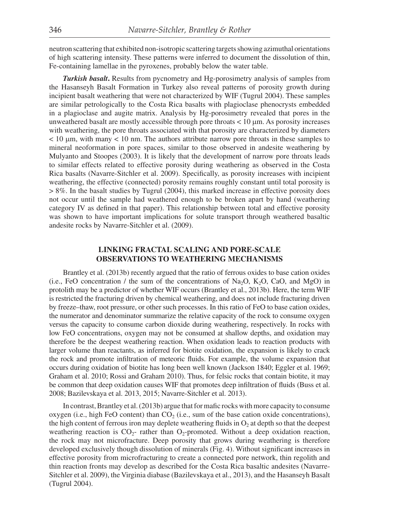neutron scattering that exhibited non-isotropic scattering targets showing azimuthal orientations of high scattering intensity. These patterns were inferred to document the dissolution of thin, Fe-containing lamellae in the pyroxenes, probably below the water table.

*Turkish basalt***.** Results from pycnometry and Hg-porosimetry analysis of samples from the Hasanseyh Basalt Formation in Turkey also reveal patterns of porosity growth during incipient basalt weathering that were not characterized by WIF (Tugrul 2004). These samples are similar petrologically to the Costa Rica basalts with plagioclase phenocrysts embedded in a plagioclase and augite matrix. Analysis by Hg-porosimetry revealed that pores in the unweathered basalt are mostly accessible through pore throats  $< 10 \mu m$ . As porosity increases with weathering, the pore throats associated with that porosity are characterized by diameters  $<$  10  $\mu$ m, with many  $<$  10 nm. The authors attribute narrow pore throats in these samples to mineral neoformation in pore spaces, similar to those observed in andesite weathering by Mulyanto and Stoopes (2003). It is likely that the development of narrow pore throats leads to similar effects related to effective porosity during weathering as observed in the Costa Rica basalts (Navarre-Sitchler et al. 2009). Specifically, as porosity increases with incipient weathering, the effective (connected) porosity remains roughly constant until total porosity is > 8%. In the basalt studies by Tugrul (2004), this marked increase in effective porosity does not occur until the sample had weathered enough to be broken apart by hand (weathering category IV as defined in that paper). This relationship between total and effective porosity was shown to have important implications for solute transport through weathered basaltic andesite rocks by Navarre-Sitchler et al. (2009).

# **LINKING FRACTAL SCALING AND PORE-SCALE OBSERVATIONS TO WEATHERING MECHANISMS**

Brantley et al. (2013b) recently argued that the ratio of ferrous oxides to base cation oxides (i.e., FeO concentration / the sum of the concentrations of Na<sub>2</sub>O, K<sub>2</sub>O, CaO, and MgO) in protolith may be a predictor of whether WIF occurs (Brantley et al., 2013b). Here, the term WIF is restricted the fracturing driven by chemical weathering, and does not include fracturing driven by freeze–thaw, root pressure, or other such processes. In this ratio of FeO to base cation oxides, the numerator and denominator summarize the relative capacity of the rock to consume oxygen versus the capacity to consume carbon dioxide during weathering, respectively. In rocks with low FeO concentrations, oxygen may not be consumed at shallow depths, and oxidation may therefore be the deepest weathering reaction. When oxidation leads to reaction products with larger volume than reactants, as inferred for biotite oxidation, the expansion is likely to crack the rock and promote infiltration of meteoric fluids. For example, the volume expansion that occurs during oxidation of biotite has long been well known (Jackson 1840; Eggler et al. 1969; Graham et al. 2010; Rossi and Graham 2010). Thus, for felsic rocks that contain biotite, it may be common that deep oxidation causes WIF that promotes deep infiltration of fluids (Buss et al. 2008; Bazilevskaya et al. 2013, 2015; Navarre-Sitchler et al. 2013).

In contrast, Brantley et al. (2013b) argue that for mafic rocks with more capacity to consume oxygen (i.e., high FeO content) than  $CO<sub>2</sub>$  (i.e., sum of the base cation oxide concentrations), the high content of ferrous iron may deplete weathering fluids in  $O_2$  at depth so that the deepest weathering reaction is  $CO<sub>2</sub>$ - rather than  $O<sub>2</sub>$ -promoted. Without a deep oxidation reaction, the rock may not microfracture. Deep porosity that grows during weathering is therefore developed exclusively though dissolution of minerals (Fig. 4). Without significant increases in effective porosity from microfracturing to create a connected pore network, thin regolith and thin reaction fronts may develop as described for the Costa Rica basaltic andesites (Navarre-Sitchler et al. 2009), the Virginia diabase (Bazilevskaya et al., 2013), and the Hasanseyh Basalt (Tugrul 2004).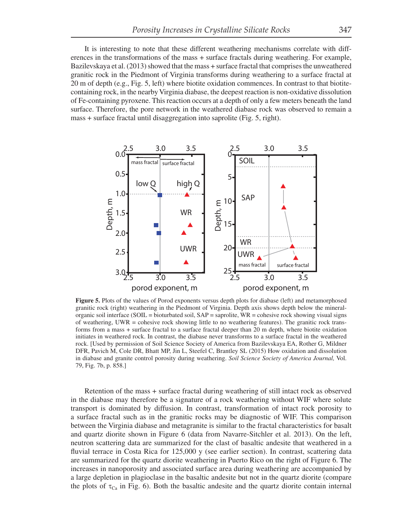It is interesting to note that these different weathering mechanisms correlate with differences in the transformations of the mass + surface fractals during weathering. For example, Bazilevskaya et al. (2013) showed that the mass + surface fractal that comprises the unweathered granitic rock in the Piedmont of Virginia transforms during weathering to a surface fractal at 20 m of depth (e.g., Fig. 5, left) where biotite oxidation commences. In contrast to that biotitecontaining rock, in the nearby Virginia diabase, the deepest reaction is non-oxidative dissolution of Fe-containing pyroxene. This reaction occurs at a depth of only a few meters beneath the land surface. Therefore, the pore network in the weathered diabase rock was observed to remain a mass + surface fractal until disaggregation into saprolite (Fig. 5, right).



**Figure 5.** Plots of the values of Porod exponents versus depth plots for diabase (left) and metamorphosed granitic rock (right) weathering in the Piedmont of Virginia. Depth axis shows depth below the mineralorganic soil interface (SOIL = bioturbated soil,  $SAP =$  saprolite,  $WR =$  cohesive rock showing visual signs of weathering, UWR = cohesive rock showing little to no weathering features). The granitic rock transforms from a mass + surface fractal to a surface fractal deeper than 20 m depth, where biotite oxidation initiates in weathered rock. In contrast, the diabase never transforms to a surface fractal in the weathered rock. [Used by permission of Soil Science Society of America from Bazilevskaya EA, Rother G, Mildner DFR, Pavich M, Cole DR, Bhatt MP, Jin L, Steefel C, Brantley SL (2015) How oxidation and dissolution in diabase and granite control porosity during weathering. *Soil Science Society of America Journal,* Vol. 79, Fig. 7b, p. 858.]

Retention of the mass + surface fractal during weathering of still intact rock as observed in the diabase may therefore be a signature of a rock weathering without WIF where solute transport is dominated by diffusion. In contrast, transformation of intact rock porosity to a surface fractal such as in the granitic rocks may be diagnostic of WIF. This comparison between the Virginia diabase and metagranite is similar to the fractal characteristics for basalt and quartz diorite shown in Figure 6 (data from Navarre-Sitchler et al. 2013). On the left, neutron scattering data are summarized for the clast of basaltic andesite that weathered in a fluvial terrace in Costa Rica for 125,000 y (see earlier section). In contrast, scattering data are summarized for the quartz diorite weathering in Puerto Rico on the right of Figure 6. The increases in nanoporosity and associated surface area during weathering are accompanied by a large depletion in plagioclase in the basaltic andesite but not in the quartz diorite (compare the plots of  $\tau_{Ca}$  in Fig. 6). Both the basaltic andesite and the quartz diorite contain internal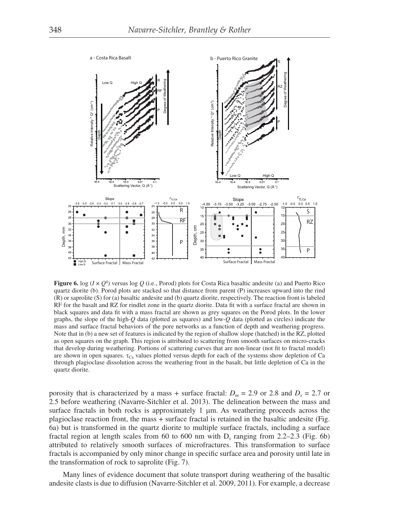

**Figure 6.** log  $(I \times Q^4)$  versus log  $Q$  (i.e., Porod) plots for Costa Rica basaltic andesite (a) and Puerto Rico quartz diorite (b). Porod plots are stacked so that distance from parent (P) increases upward into the rind (R) or saprolite (S) for (a) basaltic andesite and (b) quartz diorite, respectively. The reaction front is labeled RF for the basalt and RZ for rindlet zone in the quartz diorite. Data fit with a surface fractal are shown in black squares and data fi t with a mass fractal are shown as grey squares on the Porod plots. In the lower graphs, the slope of the high-*Q* data (plotted as squares) and low-*Q* data (plotted as circles) indicate the mass and surface fractal behaviors of the pore networks as a function of depth and weathering progress. Note that in (b) a new set of features is indicated by the region of shallow slope (hatched) in the RZ, plotted as open squares on the graph. This region is attributed to scattering from smooth surfaces on micro-cracks that develop during weathering. Portions of scattering curves that are non-linear (not fi t to fractal model) are shown in open squares.  $\tau_{Ca}$  values plotted versus depth for each of the systems show depletion of Ca through plagioclase dissolution across the weathering front in the basalt, but little depletion of Ca in the quartz diorite.

porosity that is characterized by a mass + surface fractal:  $D_m = 2.9$  or 2.8 and  $D_s = 2.7$  or 2.5 before weathering (Navarre-Sitchler et al. 2013). The delineation between the mass and surface fractals in both rocks is approximately  $1 \mu m$ . As weathering proceeds across the plagioclase reaction front, the mass + surface fractal is retained in the basaltic andesite (Fig. 6a) but is transformed in the quartz diorite to multiple surface fractals, including a surface fractal region at length scales from 60 to 600 nm with  $D_s$  ranging from 2.2–2.3 (Fig. 6b) attributed to relatively smooth surfaces of microfractures. This transformation to surface fractals is accompanied by only minor change in specific surface area and porosity until late in the transformation of rock to saprolite (Fig. 7).

Many lines of evidence document that solute transport during weathering of the basaltic andesite clasts is due to diffusion (Navarre-Sitchler et al. 2009, 2011). For example, a decrease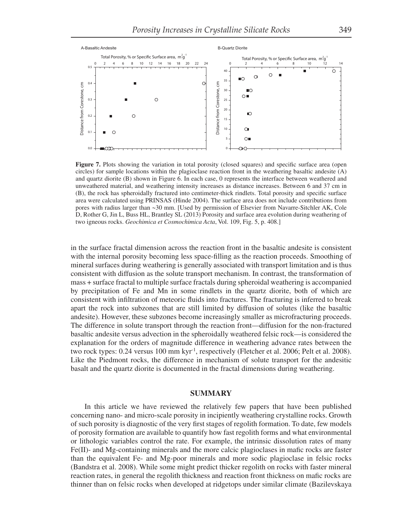

**Figure 7.** Plots showing the variation in total porosity (closed squares) and specific surface area (open circles) for sample locations within the plagioclase reaction front in the weathering basaltic andesite (A) and quartz diorite (B) shown in Figure 6. In each case, 0 represents the interface between weathered and unweathered material, and weathering intensity increases as distance increases. Between 6 and 37 cm in (B), the rock has spheroidally fractured into centimeter-thick rindlets. Total porosity and specific surface area were calculated using PRINSAS (Hinde 2004). The surface area does not include contributions from pores with radius larger than 30 mm. [Used by permission of Elsevier from Navarre-Sitchler AK, Cole D, Rother G, Jin L, Buss HL, Brantley SL (2013) Porosity and surface area evolution during weathering of two igneous rocks. *Geochimica et Cosmochimica Acta*, Vol. 109, Fig. 5, p. 408.]

in the surface fractal dimension across the reaction front in the basaltic andesite is consistent with the internal porosity becoming less space-filling as the reaction proceeds. Smoothing of mineral surfaces during weathering is generally associated with transport limitation and is thus consistent with diffusion as the solute transport mechanism. In contrast, the transformation of mass + surface fractal to multiple surface fractals during spheroidal weathering is accompanied by precipitation of Fe and Mn in some rindlets in the quartz diorite, both of which are consistent with infiltration of meteoric fluids into fractures. The fracturing is inferred to break apart the rock into subzones that are still limited by diffusion of solutes (like the basaltic andesite). However, these subzones become increasingly smaller as microfracturing proceeds. The difference in solute transport through the reaction front—diffusion for the non-fractured basaltic andesite versus advection in the spheroidally weathered felsic rock—is considered the explanation for the orders of magnitude difference in weathering advance rates between the two rock types: 0.24 versus 100 mm kyr<sup>-1</sup>, respectively (Fletcher et al. 2006; Pelt et al. 2008). Like the Piedmont rocks, the difference in mechanism of solute transport for the andesitic basalt and the quartz diorite is documented in the fractal dimensions during weathering.

#### **SUMMARY**

In this article we have reviewed the relatively few papers that have been published concerning nano- and micro-scale porosity in incipiently weathering crystalline rocks. Growth of such porosity is diagnostic of the very first stages of regolith formation. To date, few models of porosity formation are available to quantify how fast regolith forms and what environmental or lithologic variables control the rate. For example, the intrinsic dissolution rates of many  $Fe(II)$ - and Mg-containing minerals and the more calcic plagioclases in mafic rocks are faster than the equivalent Fe- and Mg-poor minerals and more sodic plagioclase in felsic rocks (Bandstra et al. 2008). While some might predict thicker regolith on rocks with faster mineral reaction rates, in general the regolith thickness and reaction front thickness on mafic rocks are thinner than on felsic rocks when developed at ridgetops under similar climate (Bazilevskaya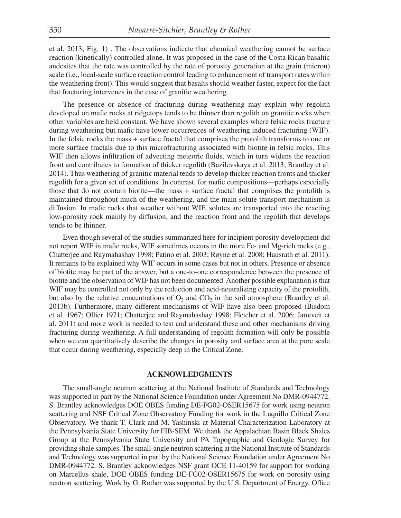et al. 2013; Fig. 1) . The observations indicate that chemical weathering cannot be surface reaction (kinetically) controlled alone. It was proposed in the case of the Costa Rican basaltic andesites that the rate was controlled by the rate of porosity generation at the grain (micron) scale (i.e., local-scale surface reaction control leading to enhancement of transport rates within the weathering front). This would suggest that basalts should weather faster, expect for the fact that fracturing intervenes in the case of granitic weathering.

The presence or absence of fracturing during weathering may explain why regolith developed on mafic rocks at ridgetops tends to be thinner than regolith on granitic rocks when other variables are held constant. We have shown several examples where felsic rocks fracture during weathering but mafic have lower occurrences of weathering induced fracturing (WIF). In the felsic rocks the mass + surface fractal that comprises the protolith transforms to one or more surface fractals due to this microfracturing associated with biotite in felsic rocks. This WIF then allows infiltration of advecting meteoric fluids, which in turn widens the reaction front and contributes to formation of thicker regolith (Bazilevskaya et al. 2013; Brantley et al. 2014). Thus weathering of granitic material tends to develop thicker reaction fronts and thicker regolith for a given set of conditions. In contrast, for mafic compositions—perhaps especially those that do not contain biotite—the mass + surface fractal that comprises the protolith is maintained throughout much of the weathering, and the main solute transport mechanism is diffusion. In mafic rocks that weather without WIF, solutes are transported into the reacting low-porosity rock mainly by diffusion, and the reaction front and the regolith that develops tends to be thinner.

Even though several of the studies summarized here for incipient porosity development did not report WIF in mafic rocks, WIF sometimes occurs in the more Fe- and Mg-rich rocks (e.g., Chatterjee and Raymahashay 1998; Patino et al. 2003; Røyne et al. 2008; Hausrath et al. 2011). It remains to be explained why WIF occurs in some cases but not in others. Presence or absence of biotite may be part of the answer, but a one-to-one correspondence between the presence of biotite and the observation of WIF has not been documented. Another possible explanation is that WIF may be controlled not only by the reduction and acid-neutralizing capacity of the protolith, but also by the relative concentrations of  $O_2$  and  $CO_2$  in the soil atmosphere (Brantley et al. 2013b). Furthermore, many different mechanisms of WIF have also been proposed (Bisdom et al. 1967; Ollier 1971; Chatterjee and Raymahashay 1998; Fletcher et al. 2006; Jamtveit et al. 2011) and more work is needed to test and understand these and other mechanisms driving fracturing during weathering. A full understanding of regolith formation will only be possible when we can quantitatively describe the changes in porosity and surface area at the pore scale that occur during weathering, especially deep in the Critical Zone.

### **ACKNOWLEDGMENTS**

The small-angle neutron scattering at the National Institute of Standards and Technology was supported in part by the National Science Foundation under Agreement No DMR-0944772. S. Brantley acknowledges DOE OBES funding DE-FG02-OSER15675 for work using neutron scattering and NSF Critical Zone Observatory Funding for work in the Luquillo Critical Zone Observatory. We thank T. Clark and M. Yashinski at Material Characterization Laboratory at the Pennsylvania State University for FIB-SEM. We thank the Appalachian Basin Black Shales Group at the Pennsylvania State University and PA Topographic and Geologic Survey for providing shale samples. The small-angle neutron scattering at the National Institute of Standards and Technology was supported in part by the National Science Foundation under Agreement No DMR-0944772. S. Brantley acknowledges NSF grant OCE 11-40159 for support for working on Marcellus shale, DOE OBES funding DE-FG02-OSER15675 for work on porosity using neutron scattering. Work by G. Rother was supported by the U.S. Department of Energy, Office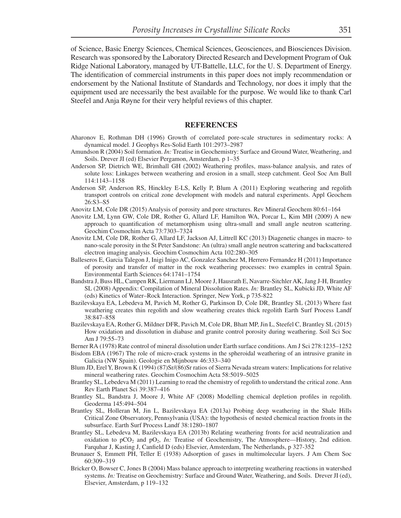of Science, Basic Energy Sciences, Chemical Sciences, Geosciences, and Biosciences Division. Research was sponsored by the Laboratory Directed Research and Development Program of Oak Ridge National Laboratory, managed by UT-Battelle, LLC, for the U. S. Department of Energy. The identification of commercial instruments in this paper does not imply recommendation or endorsement by the National Institute of Standards and Technology, nor does it imply that the equipment used are necessarily the best available for the purpose. We would like to thank Carl Steefel and Anja Røyne for their very helpful reviews of this chapter.

#### **REFERENCES**

- Aharonov E, Rothman DH (1996) Growth of correlated pore-scale structures in sedimentary rocks: A dynamical model. J Geophys Res-Solid Earth 101:2973–2987
- Amundson R (2004) Soil formation. *In:* Treatise in Geochemistry: Surface and Ground Water, Weathering, and Soils. Drever JI (ed) Elsevier Pergamon, Amsterdam, p 1–35
- Anderson SP, Dietrich WE, Brimhall GH (2002) Weathering profiles, mass-balance analysis, and rates of solute loss: Linkages between weathering and erosion in a small, steep catchment. Geol Soc Am Bull 114:1143–1158
- Anderson SP, Anderson RS, Hinckley E-LS, Kelly P, Blum A (2011) Exploring weathering and regolith transport controls on critical zone development with models and natural experiments. Appl Geochem 26:S3–S5
- Anovitz LM, Cole DR (2015) Analysis of porosity and pore structures. Rev Mineral Geochem 80:61–164
- Anovitz LM, Lynn GW, Cole DR, Rother G, Allard LF, Hamilton WA, Porcar L, Kim MH (2009) A new approach to quantification of metamorphism using ultra-small and small angle neutron scattering. Geochim Cosmochim Acta 73:7303–7324
- Anovitz LM, Cole DR, Rother G, Allard LF, Jackson AJ, Littrell KC (2013) Diagenetic changes in macro- to nano-scale porosity in the St Peter Sandstone: An (ultra) small angle neutron scattering and backscattered electron imaging analysis. Geochim Cosmochim Acta 102:280–305
- Balleseros E, Garcia Talegon J, Inigi Inigo AC, Gonzalez Sanchez M, Herrero Fernandez H (2011) Importance of porosity and transfer of matter in the rock weathering processes: two examples in central Spain. Environmental Earth Sciences 64:1741–1754
- Bandstra J, Buss HL, Campen RK, Liermann LJ, Moore J, Hausrath E, Navarre-Sitchler AK, Jang J-H, Brantley SL (2008) Appendix: Compilation of Mineral Dissolution Rates. *In:* Brantley SL, Kubicki JD, White AF (eds) Kinetics of Water–Rock Interaction. Springer, New York, p 735-822
- Bazilevskaya EA, Lebedeva M, Pavich M, Rother G, Parkinson D, Cole DR, Brantley SL (2013) Where fast weathering creates thin regolith and slow weathering creates thick regolith Earth Surf Process Landf 38:847–858
- Bazilevskaya EA, Rother G, Mildner DFR, Pavich M, Cole DR, Bhatt MP, Jin L, Steefel C, Brantley SL (2015) How oxidation and dissolution in diabase and granite control porosity during weathering. Soil Sci Soc Am J 79:55–73
- Berner RA (1978) Rate control of mineral dissolution under Earth surface conditions. Am J Sci 278:1235–1252
- Bisdom EBA (1967) The role of micro-crack systems in the spheroidal weathering of an intrusive granite in Galicia (NW Spain). Geologie en Mijnbouw 46:333–340
- Blum JD, Erel Y, Brown K (1994) (87)Sr/(86)Sr ratios of Sierra Nevada stream waters: Implications for relative mineral weathering rates. Geochim Cosmochim Acta 58:5019–5025
- Brantley SL, Lebedeva M (2011) Learning to read the chemistry of regolith to understand the critical zone. Ann Rev Earth Planet Sci 39:387–416
- Brantley SL, Bandstra J, Moore J, White AF (2008) Modelling chemical depletion profiles in regolith. Geoderma 145:494–504
- Brantley SL, Holleran M, Jin L, Bazilevskaya EA (2013a) Probing deep weathering in the Shale Hills Critical Zone Observatory, Pennsylvania (USA): the hypothesis of nested chemical reaction fronts in the subsurface. Earth Surf Process Landf 38:1280–1807
- Brantley SL, Lebedeva M, Bazilevskaya EA (2013b) Relating weathering fronts for acid neutralization and oxidation to pCO<sub>2</sub> and pO<sub>2</sub>, *In:* Treatise of Geochemistry, The Atmosphere—History, 2nd edition. Farquhar J, Kasting J, Canfield D (eds) Elsevier, Amsterdam, The Netherlands, p 327-352
- Brunauer S, Emmett PH, Teller E (1938) Adsorption of gases in multimolecular layers. J Am Chem Soc 60:309–319
- Bricker O, Bowser C, Jones B (2004) Mass balance approach to interpreting weathering reactions in watershed systems. *In:* Treatise on Geochemistry: Surface and Ground Water, Weathering, and Soils. Drever JI (ed), Elsevier, Amsterdam, p 119–132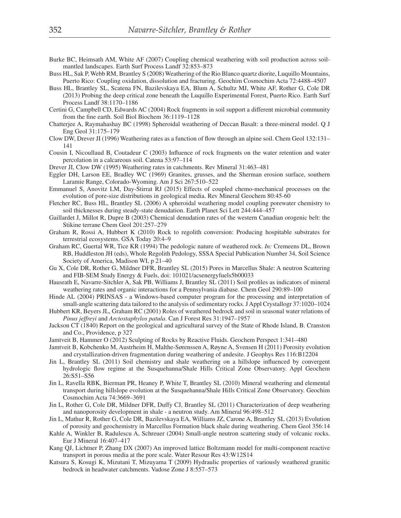- Burke BC, Heimsath AM, White AF (2007) Coupling chemical weathering with soil production across soilmantled landscapes. Earth Surf Process Landf 32:853–873
- Buss HL, Sak P, Webb RM, Brantley S (2008) Weathering of the Rio Blanco quartz diorite, Luquillo Mountains, Puerto Rico: Coupling oxidation, dissolution and fracturing. Geochim Cosmochim Acta 72:4488–4507
- Buss HL, Brantley SL, Scatena FN, Bazilevskaya EA, Blum A, Schultz MJ, White AF, Rother G, Cole DR (2013) Probing the deep critical zone beneath the Luquillo Experimental Forest, Puerto Rico. Earth Surf Process Landf 38:1170–1186
- Certini G, Campbell CD, Edwards AC (2004) Rock fragments in soil support a different microbial community from the fine earth. Soil Biol Biochem 36:1119–1128
- Chatterjee A, Raymahashay BC (1998) Spheroidal weathering of Deccan Basalt: a three-mineral model. Q J Eng Geol 31:175–179
- Clow DW, Drever JI (1996) Weathering rates as a function of flow through an alpine soil. Chem Geol 132:131– 141
- Cousin I, Nicoullaud B, Coutadeur C (2003) Influence of rock fragments on the water retention and water percolation in a calcareous soil. Catena 53:97–114
- Drever JI, Clow DW (1995) Weathering rates in catchments. Rev Mineral 31:463–481
- Eggler DH, Larson EE, Bradley WC (1969) Granites, grusses, and the Sherman erosion surface, southern Laramie Range, Colorado-Wyoming. Am J Sci 267:510–522
- Emmanuel S, Anovitz LM, Day-Stirrat RJ (2015) Effects of coupled chemo-mechanical processes on the evolution of pore-size distributions in geological media. Rev Mineral Geochem 80:45-60
- Fletcher RC, Buss HL, Brantley SL (2006) A spheroidal weathering model coupling porewater chemistry to soil thicknesses during steady-state denudation. Earth Planet Sci Lett 244:444–457
- Gaillardet J, Millot R, Dupre B (2003) Chemical denudation rates of the western Canadian orogenic belt: the Stikine terrane Chem Geol 201:257–279
- Graham R, Rossi A, Hubbert K (2010) Rock to regolith conversion: Producing hospitable substrates for terrestrial ecosystems. GSA Today 20:4–9
- Graham RC, Guertal WR, Tice KR (1994) The pedologic nature of weathered rock. *In:* Cremeens DL, Brown RB, Huddleston JH (eds), Whole Regolith Pedology, SSSA Special Publication Number 34, Soil Science Society of America, Madison WI, p 21–40
- Gu X, Cole DR, Rother G, Mildner DFR, Brantley SL (2015) Pores in Marcellus Shale: A neutron Scattering and FIB-SEM Study Energy & Fuels, doi: 101021/acsenergyfuels5b00033
- Hausrath E, Navarre-Sitchler A, Sak PB, Williams J, Brantley SL (2011) Soil profiles as indicators of mineral weathering rates and organic interactions for a Pennsylvania diabase. Chem Geol 290:89–100
- Hinde AL (2004) PRINSAS a Windows-based computer program for the processing and interpretation of small-angle scattering data tailored to the analysis of sedimentary rocks. J Appl Crystallogr 37:1020–1024
- Hubbert KR, Beyers JL, Graham RC (2001) Roles of weathered bedrock and soil in seasonal water relations of *Pinus jeffreyi* and *Arctostaphylos patula*. Can J Forest Res 31:1947–1957
- Jackson CT (1840) Report on the geological and agricultural survey of the State of Rhode Island, B. Cranston and Co., Providence, p 327
- Jamtveit B, Hammer O (2012) Sculpting of Rocks by Reactive Fluids. Geochem Perspect 1:341–480
- Jamtveit B, Kobchenko M, Austrheim H, Malthe-Sørenssen A, Røyne A, Svensen H (2011) Porosity evolution and crystallization-driven fragmentation during weathering of andesite. J Geophys Res 116:B12204
- Jin L, Brantley SL (2011) Soil chemistry and shale weathering on a hillslope influenced by convergent hydrologic flow regime at the Susquehanna/Shale Hills Critical Zone Observatory. Appl Geochem 26:S51–S56
- Jin L, Ravella RBK, Bierman PR, Heaney P, White T, Brantley SL (2010) Mineral weathering and elemental transport during hillslope evolution at the Susquehanna/Shale Hills Critical Zone Observatory. Geochim Cosmochim Acta 74:3669–3691
- Jin L, Rother G, Cole DR, Mildner DFR, Duffy CJ, Brantley SL (2011) Characterization of deep weathering and nanoporosity development in shale - a neutron study. Am Mineral 96:498–512
- Jin L, Mathur R, Rother G, Cole DR, Bazilevskaya EA, Williams JZ, Carone A, Brantley SL (2013) Evolution of porosity and geochemistry in Marcellus Formation black shale during weathering. Chem Geol 356:14
- Kahle A, Winkler B, Radulescu A, Schreuer (2004) Small-angle neutron scattering study of volcanic rocks. Eur J Mineral 16:407–417
- Kang QJ, Lichtner P, Zhang DX (2007) An improved lattice Boltzmann model for multi-component reactive transport in porous media at the pore scale. Water Resour Res 43:W12S14
- Katsura S, Kosugi K, Mizutani T, Mizuyama T (2009) Hydraulic properties of variously weathered granitic bedrock in headwater catchments. Vadose Zone J 8:557–573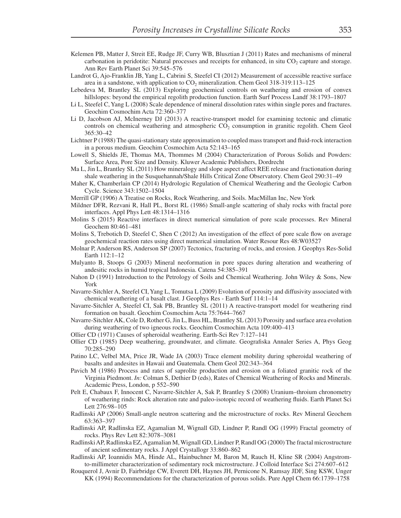- Kelemen PB, Matter J, Streit EE, Rudge JF, Curry WB, Blusztian J (2011) Rates and mechanisms of mineral carbonation in peridotite: Natural processes and receipts for enhanced, in situ  $CO<sub>2</sub>$  capture and storage. Ann Rev Earth Planet Sci 39:545–576
- Landrot G, Ajo-Franklin JB, Yang L, Cabrini S, Steefel CI (2012) Measurement of accessible reactive surface area in a sandstone, with application to  $CO<sub>2</sub>$  mineralization. Chem Geol 318-319:113-125
- Lebedeva M, Brantley SL (2013) Exploring geochemical controls on weathering and erosion of convex hillslopes: beyond the empirical regolith production function. Earth Surf Process Landf 38:1793–1807
- Li L, Steefel C, Yang L (2008) Scale dependence of mineral dissolution rates within single pores and fractures. Geochim Cosmochim Acta 72:360–377
- Li D, Jacobson AJ, McInerney DJ (2013) A reactive-transport model for examining tectonic and climatic controls on chemical weathering and atmospheric  $CO<sub>2</sub>$  consumption in granitic regolith. Chem Geol 365:30–42
- Lichtner P (1988) The quasi-stationary state approximation to coupled mass transport and fluid-rock interaction in a porous medium. Geochim Cosmochim Acta 52:143–165
- Lowell S, Shields JE, Thomas MA, Thommes M (2004) Characterization of Porous Solids and Powders: Surface Area, Pore Size and Density. Kluwer Academic Publishers, Dordrecht
- Ma L, Jin L, Brantley SL (2011) How mineralogy and slope aspect affect REE release and fractionation during shale weathering in the Susquehannah/Shale Hills Critical Zone Observatory. Chem Geol 290:31–49
- Maher K, Chamberlain CP (2014) Hydrologic Regulation of Chemical Weathering and the Geologic Carbon Cycle. Science 343:1502–1504
- Merrill GP (1906) A Treatise on Rocks, Rock Weathering, and Soils. MacMillan Inc, New York
- Mildner DFR, Rezvani R, Hall PL, Borst RL (1986) Small-angle scattering of shaly rocks with fractal pore interfaces. Appl Phys Lett 48:1314–1316
- Molins S (2015) Reactive interfaces in direct numerical simulation of pore scale processes. Rev Mineral Geochem 80:461–481
- Molins S, Trebotich D, Steefel C, Shen C (2012) An investigation of the effect of pore scale flow on average geochemical reaction rates using direct numerical simulation. Water Resour Res 48:W03527
- Molnar P, Anderson RS, Anderson SP (2007) Tectonics, fracturing of rocks, and erosion. J Geophys Res-Solid Earth 112:1–12
- Mulyanto B, Stoops G (2003) Mineral neoformation in pore spaces during alteration and weathering of andesitic rocks in humid tropical Indonesia. Catena 54:385–391
- Nahon D (1991) Introduction to the Petrology of Soils and Chemical Weathering. John Wiley & Sons, New York
- Navarre-Sitchler A, Steefel CI, Yang L, Tomutsa L (2009) Evolution of porosity and diffusivity associated with chemical weathering of a basalt clast. J Geophys Res - Earth Surf 114:1–14
- Navarre-Sitchler A, Steefel CI, Sak PB, Brantley SL (2011) A reactive-transport model for weathering rind formation on basalt. Geochim Cosmochim Acta 75:7644–7667
- Navarre-Sitchler AK, Cole D, Rother G, Jin L, Buss HL, Brantley SL (2013) Porosity and surface area evolution during weathering of two igneous rocks. Geochim Cosmochim Acta 109:400–413
- Ollier CD (1971) Causes of spheroidal weathering. Earth-Sci Rev 7:127–141
- Ollier CD (1985) Deep weathering, groundwater, and climate. Geografiska Annaler Series A, Phys Geog 70:285–290
- Patino LC, Velbel MA, Price JR, Wade JA (2003) Trace element mobility during spheroidal weathering of basalts and andesites in Hawaii and Guatemala. Chem Geol 202:343–364
- Pavich M (1986) Process and rates of saprolite production and erosion on a foliated granitic rock of the Virginia Piedmont. *In:* Colman S, Dethier D (eds), Rates of Chemical Weathering of Rocks and Minerals. Academic Press, London, p 552–590
- Pelt E, Chabaux F, Innocent C, Navarre-Sitchler A, Sak P, Brantley S (2008) Uranium–throium chronometry of weathering rinds: Rock alteration rate and paleo-isotopic record of weathering fluids. Earth Planet Sci Lett 276:98–105
- Radlinski AP (2006) Small-angle neutron scattering and the microstructure of rocks. Rev Mineral Geochem 63:363–397
- Radlinski AP, Radlinska EZ, Agamalian M, Wignall GD, Lindner P, Randl OG (1999) Fractal geometry of rocks. Phys Rev Lett 82:3078–3081
- Radlinski AP, Radlinska EZ, Agamalian M, Wignall GD, Lindner P, Randl OG (2000) The fractal microstructure of ancient sedimentary rocks. J Appl Crystallogr 33:860–862
- Radlinski AP, Ioannidis MA, Hinde AL, Hainbuchner M, Baron M, Rauch H, Kline SR (2004) Angstromto-millimeter characterization of sedimentary rock microstructure. J Colloid Interface Sci 274:607–612
- Rouquerol J, Avnir D, Fairbridge CW, Everett DH, Haynes JH, Pernicone N, Ramsay JDF, Sing KSW, Unger KK (1994) Recommendations for the characterization of porous solids. Pure Appl Chem 66:1739–1758